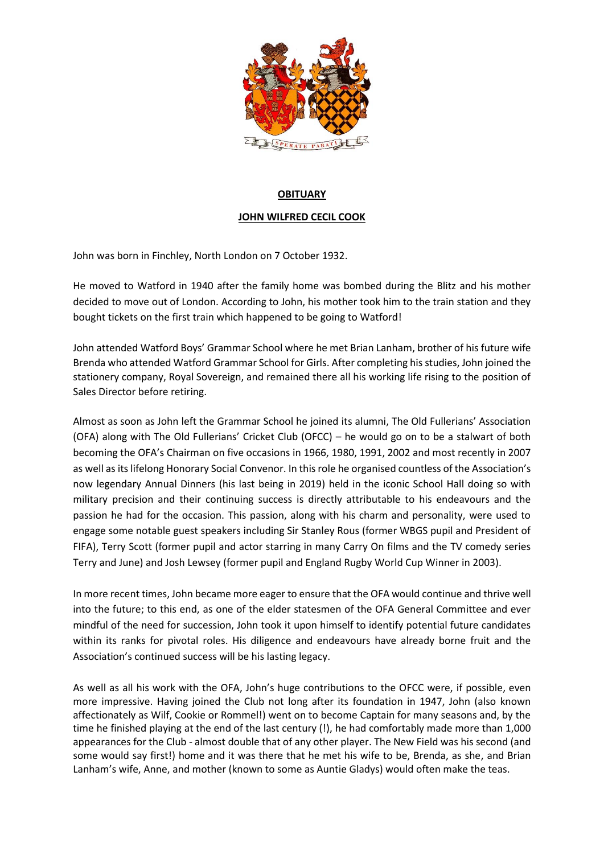

## **OBITUARY**

## **JOHN WILFRED CECIL COOK**

John was born in Finchley, North London on 7 October 1932.

He moved to Watford in 1940 after the family home was bombed during the Blitz and his mother decided to move out of London. According to John, his mother took him to the train station and they bought tickets on the first train which happened to be going to Watford!

John attended Watford Boys' Grammar School where he met Brian Lanham, brother of his future wife Brenda who attended Watford Grammar School for Girls. After completing his studies, John joined the stationery company, Royal Sovereign, and remained there all his working life rising to the position of Sales Director before retiring.

Almost as soon as John left the Grammar School he joined its alumni, The Old Fullerians' Association (OFA) along with The Old Fullerians' Cricket Club (OFCC) – he would go on to be a stalwart of both becoming the OFA's Chairman on five occasions in 1966, 1980, 1991, 2002 and most recently in 2007 as well as its lifelong Honorary Social Convenor. In this role he organised countless of the Association's now legendary Annual Dinners (his last being in 2019) held in the iconic School Hall doing so with military precision and their continuing success is directly attributable to his endeavours and the passion he had for the occasion. This passion, along with his charm and personality, were used to engage some notable guest speakers including Sir Stanley Rous (former WBGS pupil and President of FIFA), Terry Scott (former pupil and actor starring in many Carry On films and the TV comedy series Terry and June) and Josh Lewsey (former pupil and England Rugby World Cup Winner in 2003).

In more recent times, John became more eager to ensure that the OFA would continue and thrive well into the future; to this end, as one of the elder statesmen of the OFA General Committee and ever mindful of the need for succession, John took it upon himself to identify potential future candidates within its ranks for pivotal roles. His diligence and endeavours have already borne fruit and the Association's continued success will be his lasting legacy.

As well as all his work with the OFA, John's huge contributions to the OFCC were, if possible, even more impressive. Having joined the Club not long after its foundation in 1947, John (also known affectionately as Wilf, Cookie or Rommel!) went on to become Captain for many seasons and, by the time he finished playing at the end of the last century (!), he had comfortably made more than 1,000 appearances for the Club - almost double that of any other player. The New Field was his second (and some would say first!) home and it was there that he met his wife to be, Brenda, as she, and Brian Lanham's wife, Anne, and mother (known to some as Auntie Gladys) would often make the teas.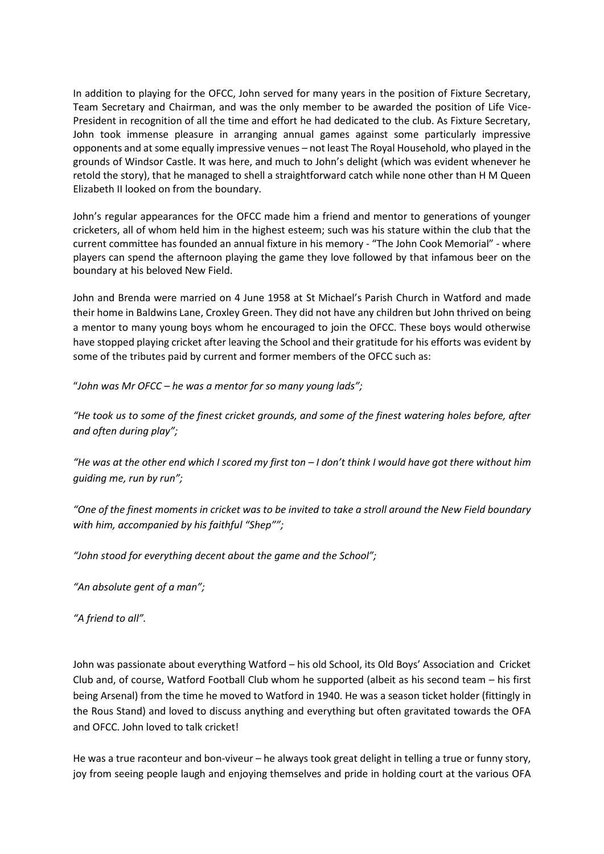In addition to playing for the OFCC, John served for many years in the position of Fixture Secretary, Team Secretary and Chairman, and was the only member to be awarded the position of Life Vice-President in recognition of all the time and effort he had dedicated to the club. As Fixture Secretary, John took immense pleasure in arranging annual games against some particularly impressive opponents and at some equally impressive venues – not least The Royal Household, who played in the grounds of Windsor Castle. It was here, and much to John's delight (which was evident whenever he retold the story), that he managed to shell a straightforward catch while none other than H M Queen Elizabeth II looked on from the boundary.

John's regular appearances for the OFCC made him a friend and mentor to generations of younger cricketers, all of whom held him in the highest esteem; such was his stature within the club that the current committee has founded an annual fixture in his memory - "The John Cook Memorial" - where players can spend the afternoon playing the game they love followed by that infamous beer on the boundary at his beloved New Field.

John and Brenda were married on 4 June 1958 at St Michael's Parish Church in Watford and made their home in Baldwins Lane, Croxley Green. They did not have any children but John thrived on being a mentor to many young boys whom he encouraged to join the OFCC. These boys would otherwise have stopped playing cricket after leaving the School and their gratitude for his efforts was evident by some of the tributes paid by current and former members of the OFCC such as:

"*John was Mr OFCC – he was a mentor for so many young lads";*

*"He took us to some of the finest cricket grounds, and some of the finest watering holes before, after and often during play";*

*"He was at the other end which I scored my first ton – I don't think I would have got there without him guiding me, run by run";*

*"One of the finest moments in cricket was to be invited to take a stroll around the New Field boundary with him, accompanied by his faithful "Shep"";*

*"John stood for everything decent about the game and the School";*

*"An absolute gent of a man";*

*"A friend to all".*

John was passionate about everything Watford – his old School, its Old Boys' Association and Cricket Club and, of course, Watford Football Club whom he supported (albeit as his second team – his first being Arsenal) from the time he moved to Watford in 1940. He was a season ticket holder (fittingly in the Rous Stand) and loved to discuss anything and everything but often gravitated towards the OFA and OFCC. John loved to talk cricket!

He was a true raconteur and bon-viveur – he always took great delight in telling a true or funny story, joy from seeing people laugh and enjoying themselves and pride in holding court at the various OFA